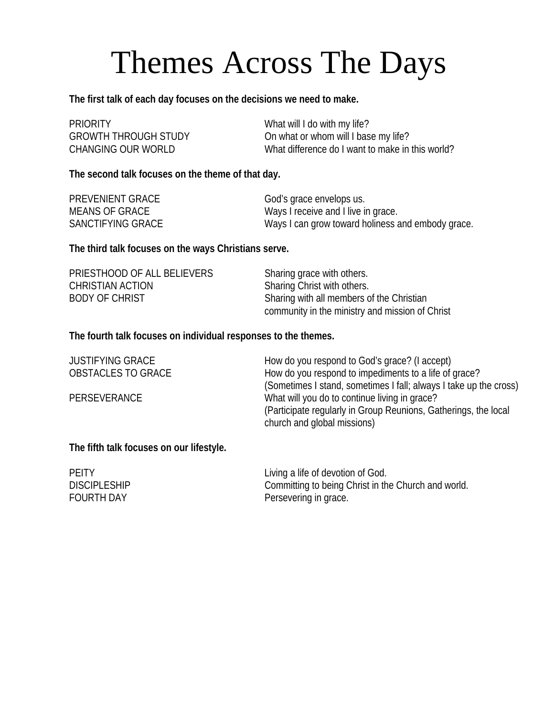## Themes Across The Days

**The first talk of each day focuses on the decisions we need to make.** 

| <b>PRIORITY</b>             | What will I do with my life?                     |
|-----------------------------|--------------------------------------------------|
| <b>GROWTH THROUGH STUDY</b> | On what or whom will I base my life?             |
| CHANGING OUR WORLD          | What difference do I want to make in this world? |

**The second talk focuses on the theme of that day.** 

| <b>PREVENIENT GRACE</b> | God's grace envelops us.                          |
|-------------------------|---------------------------------------------------|
| MEANS OF GRACE          | Ways I receive and I live in grace.               |
| SANCTIFYING GRACE       | Ways I can grow toward holiness and embody grace. |

**The third talk focuses on the ways Christians serve.** 

| PRIESTHOOD OF ALL BELIEVERS | Sharing grace with others.                      |  |
|-----------------------------|-------------------------------------------------|--|
| CHRISTIAN ACTION            | Sharing Christ with others.                     |  |
| <b>BODY OF CHRIST</b>       | Sharing with all members of the Christian       |  |
|                             | community in the ministry and mission of Christ |  |

**The fourth talk focuses on individual responses to the themes.** 

| <b>JUSTIFYING GRACE</b>   | How do you respond to God's grace? (I accept)                                                  |
|---------------------------|------------------------------------------------------------------------------------------------|
| <b>OBSTACLES TO GRACE</b> | How do you respond to impediments to a life of grace?                                          |
|                           | (Sometimes I stand, sometimes I fall; always I take up the cross)                              |
| <b>PERSEVERANCE</b>       | What will you do to continue living in grace?                                                  |
|                           | (Participate regularly in Group Reunions, Gatherings, the local<br>church and global missions) |
|                           |                                                                                                |

**The fifth talk focuses on our lifestyle.** 

| <b>PEITY</b>        | Living a life of devotion of God.                   |
|---------------------|-----------------------------------------------------|
| <b>DISCIPLESHIP</b> | Committing to being Christ in the Church and world. |
| <b>FOURTH DAY</b>   | Persevering in grace.                               |